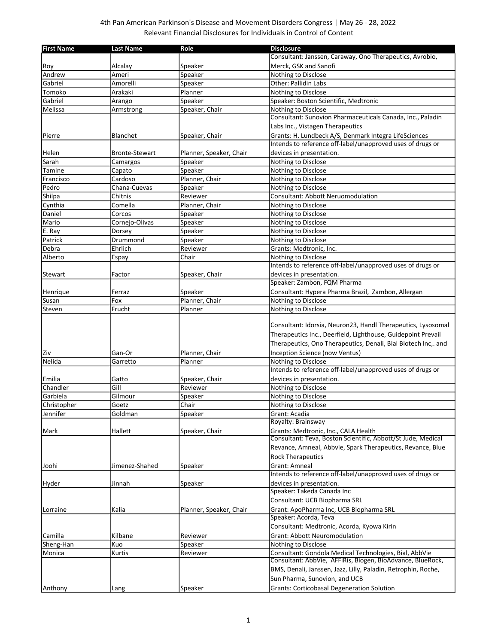## 4th Pan American Parkinson's Disease and Movement Disorders Congress | May 26 - 28, 2022 Relevant Financial Disclosures for Individuals in Control of Content

| <b>First Name</b>  | <b>Last Name</b>      | Role                    | <b>Disclosure</b>                                                                                                                                                                              |
|--------------------|-----------------------|-------------------------|------------------------------------------------------------------------------------------------------------------------------------------------------------------------------------------------|
|                    |                       |                         | Consultant: Janssen, Caraway, Ono Therapeutics, Avrobio,                                                                                                                                       |
| Roy                | Alcalay               | Speaker                 | Merck, GSK and Sanofi                                                                                                                                                                          |
| Andrew             | Ameri                 | Speaker                 | Nothing to Disclose                                                                                                                                                                            |
| Gabriel            | Amorelli              | Speaker                 | <b>Other: Pallidin Labs</b>                                                                                                                                                                    |
| Tomoko             | Arakaki               | Planner                 | Nothing to Disclose                                                                                                                                                                            |
| Gabriel            | Arango                | Speaker                 | Speaker: Boston Scientific, Medtronic                                                                                                                                                          |
| Melissa            | Armstrong             | Speaker, Chair          | Nothing to Disclose                                                                                                                                                                            |
|                    |                       |                         | Consultant: Sunovion Pharmaceuticals Canada, Inc., Paladin                                                                                                                                     |
|                    |                       |                         | Labs Inc., Vistagen Therapeutics                                                                                                                                                               |
| Pierre             | Blanchet              | Speaker, Chair          | Grants: H. Lundbeck A/S, Denmark Integra LifeSciences                                                                                                                                          |
|                    |                       |                         | Intends to reference off-label/unapproved uses of drugs or                                                                                                                                     |
| Helen              | <b>Bronte-Stewart</b> | Planner, Speaker, Chair | devices in presentation.                                                                                                                                                                       |
| Sarah              | Camargos              | Speaker                 | Nothing to Disclose                                                                                                                                                                            |
| Tamine             | Capato                | Speaker                 | Nothing to Disclose                                                                                                                                                                            |
| Francisco          | Cardoso               | Planner, Chair          | Nothing to Disclose                                                                                                                                                                            |
| Pedro              | Chana-Cuevas          | Speaker                 | Nothing to Disclose                                                                                                                                                                            |
| Shilpa             | Chitnis               | Reviewer                | Consultant: Abbott Neruomodulation                                                                                                                                                             |
| Cynthia            | Comella               | Planner, Chair          | Nothing to Disclose                                                                                                                                                                            |
| Daniel             | Corcos                | Speaker                 | Nothing to Disclose                                                                                                                                                                            |
| Mario              | Cornejo-Olivas        | Speaker                 | Nothing to Disclose                                                                                                                                                                            |
| E. Ray             | Dorsey                | Speaker                 | Nothing to Disclose                                                                                                                                                                            |
| Patrick            | Drummond              | Speaker                 | Nothing to Disclose                                                                                                                                                                            |
| Debra              | Ehrlich               | Reviewer                | Grants: Medtronic, Inc.                                                                                                                                                                        |
| Alberto            | Espay                 | Chair                   | Nothing to Disclose                                                                                                                                                                            |
|                    |                       |                         | Intends to reference off-label/unapproved uses of drugs or                                                                                                                                     |
| Stewart            | Factor                | Speaker, Chair          | devices in presentation.                                                                                                                                                                       |
|                    |                       |                         | Speaker: Zambon, FQM Pharma                                                                                                                                                                    |
| Henrique           | Ferraz                | Speaker                 | Consultant: Hypera Pharma Brazil, Zambon, Allergan                                                                                                                                             |
| Susan              | Fox                   | Planner, Chair          | Nothing to Disclose                                                                                                                                                                            |
| Steven             | Frucht                | Planner                 | Nothing to Disclose                                                                                                                                                                            |
|                    |                       |                         | Consultant: Idorsia, Neuron23, Handl Therapeutics, Lysosomal<br>Therapeutics Inc., Deerfield, Lighthouse, Guidepoint Prevail<br>Therapeutics, Ono Therapeutics, Denali, Bial Biotech Inc,. and |
| Ziv                | Gan-Or                | Planner, Chair          | <b>Inception Science (now Ventus)</b>                                                                                                                                                          |
| Nelida             | Garretto              | Planner                 | Nothing to Disclose<br>Intends to reference off-label/unapproved uses of drugs or                                                                                                              |
|                    |                       |                         |                                                                                                                                                                                                |
| Emilia<br>Chandler | Gatto<br>Gill         | Speaker, Chair          | devices in presentation.                                                                                                                                                                       |
| Garbiela           | Gilmour               | Reviewer                | Nothing to Disclose                                                                                                                                                                            |
| Christopher        | Goetz                 | Speaker<br>Chair        | Nothing to Disclose<br>Nothing to Disclose                                                                                                                                                     |
| Jennifer           | Goldman               | Speaker                 | Grant: Acadia                                                                                                                                                                                  |
|                    |                       |                         | Royalty: Brainsway                                                                                                                                                                             |
| Mark               | Hallett               | Speaker, Chair          | Grants: Medtronic, Inc., CALA Health                                                                                                                                                           |
|                    |                       |                         | Consultant: Teva, Boston Scientific, Abbott/St Jude, Medical                                                                                                                                   |
|                    |                       |                         | Revance, Amneal, Abbvie, Spark Therapeutics, Revance, Blue                                                                                                                                     |
|                    |                       |                         | <b>Rock Therapeutics</b>                                                                                                                                                                       |
| Joohi              | Jimenez-Shahed        | Speaker                 | <b>Grant: Amneal</b>                                                                                                                                                                           |
|                    |                       |                         | Intends to reference off-label/unapproved uses of drugs or                                                                                                                                     |
| Hyder              | Jinnah                | Speaker                 | devices in presentation.                                                                                                                                                                       |
|                    |                       |                         | Speaker: Takeda Canada Inc                                                                                                                                                                     |
|                    |                       |                         | Consultant: UCB Biopharma SRL                                                                                                                                                                  |
| Lorraine           | Kalia                 | Planner, Speaker, Chair | Grant: ApoPharma Inc, UCB Biopharma SRL                                                                                                                                                        |
|                    |                       |                         | Speaker: Acorda, Teva                                                                                                                                                                          |
|                    |                       |                         | Consultant: Medtronic, Acorda, Kyowa Kirin                                                                                                                                                     |
| Camilla            | Kilbane               | Reviewer                | <b>Grant: Abbott Neuromodulation</b>                                                                                                                                                           |
| Sheng-Han          | Kuo                   |                         | Nothing to Disclose                                                                                                                                                                            |
| Monica             | Kurtis                | Speaker<br>Reviewer     | Consultant: Gondola Medical Technologies, Bial, AbbVie                                                                                                                                         |
|                    |                       |                         | Consultant: AbbVie, AFFiRis, Biogen, BioAdvance, BlueRock,                                                                                                                                     |
|                    |                       |                         | BMS, Denali, Janssen, Jazz, Lilly, Paladin, Retrophin, Roche,                                                                                                                                  |
|                    |                       |                         | Sun Pharma, Sunovion, and UCB                                                                                                                                                                  |
|                    |                       |                         | <b>Grants: Corticobasal Degeneration Solution</b>                                                                                                                                              |
| Anthony            | Lang                  | Speaker                 |                                                                                                                                                                                                |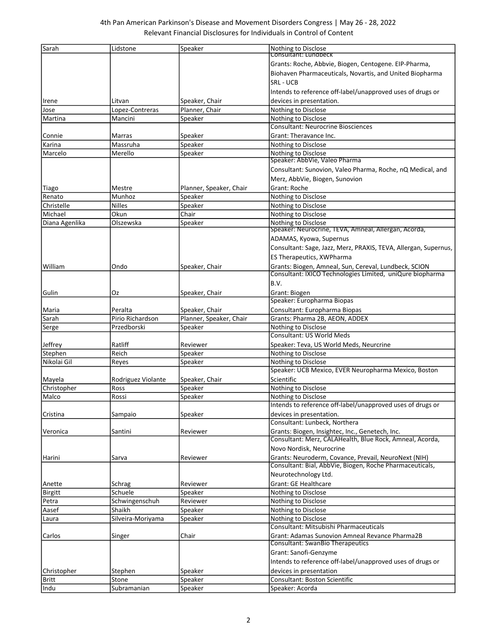| Sarah          | Lidstone                 | Speaker                 | Nothing to Disclose<br>Consultant: Lundbeck                                                                      |
|----------------|--------------------------|-------------------------|------------------------------------------------------------------------------------------------------------------|
|                |                          |                         |                                                                                                                  |
|                |                          |                         | Grants: Roche, Abbvie, Biogen, Centogene. EIP-Pharma,                                                            |
|                |                          |                         | Biohaven Pharmaceuticals, Novartis, and United Biopharma                                                         |
|                |                          |                         | <b>SRL - UCB</b>                                                                                                 |
|                |                          |                         | Intends to reference off-label/unapproved uses of drugs or                                                       |
| Irene          | Litvan                   | Speaker, Chair          | devices in presentation.                                                                                         |
| Jose           | Lopez-Contreras          | Planner, Chair          | Nothing to Disclose                                                                                              |
| Martina        | Mancini                  | Speaker                 | Nothing to Disclose                                                                                              |
|                |                          |                         | <b>Consultant: Neurocrine Biosciences</b>                                                                        |
| Connie         | Marras                   | Speaker                 | Grant: Theravance Inc.                                                                                           |
| Karina         | Massruha                 | Speaker                 | Nothing to Disclose                                                                                              |
| Marcelo        | Merello                  | Speaker                 | Nothing to Disclose                                                                                              |
|                |                          |                         | Speaker: AbbVie, Valeo Pharma                                                                                    |
|                |                          |                         | Consultant: Sunovion, Valeo Pharma, Roche, nQ Medical, and                                                       |
|                |                          |                         | Merz, AbbVie, Biogen, Sunovion                                                                                   |
| Tiago          | Mestre                   | Planner, Speaker, Chair | Grant: Roche                                                                                                     |
| Renato         | Munhoz                   | Speaker                 | Nothing to Disclose                                                                                              |
| Christelle     | <b>Nilles</b>            | Speaker                 | Nothing to Disclose                                                                                              |
| Michael        | Okun                     | Chair                   | Nothing to Disclose                                                                                              |
| Diana Agenlika | Olszewska                | Speaker                 | Nothing to Disclose                                                                                              |
|                |                          |                         | Speaker: Neurocrine, TEVA, Amneal, Allergan, Acorda,                                                             |
|                |                          |                         | ADAMAS, Kyowa, Supernus                                                                                          |
|                |                          |                         | Consultant: Sage, Jazz, Merz, PRAXIS, TEVA, Allergan, Supernus,                                                  |
|                |                          |                         | ES Therapeutics, XWPharma                                                                                        |
| William        | Ondo                     | Speaker, Chair          | Grants: Biogen, Amneal, Sun, Cereval, Lundbeck, SCION                                                            |
|                |                          |                         | Consultant: IXICO Technologies Limited, uniQure biopharma                                                        |
|                |                          |                         | B.V.                                                                                                             |
| Gulin          | Oz                       | Speaker, Chair          | Grant: Biogen                                                                                                    |
|                |                          |                         | Speaker: Europharma Biopas                                                                                       |
| Maria          | Peralta                  | Speaker, Chair          | Consultant: Europharma Biopas                                                                                    |
| Sarah          | Pirio Richardson         | Planner, Speaker, Chair | Grants: Pharma 2B, AEON, ADDEX                                                                                   |
| Serge          | Przedborski              | Speaker                 | Nothing to Disclose                                                                                              |
|                |                          |                         | <b>Consultant: US World Meds</b>                                                                                 |
| Jeffrey        | Ratliff                  | Reviewer                | Speaker: Teva, US World Meds, Neurcrine                                                                          |
| Stephen        | Reich                    | Speaker                 | Nothing to Disclose                                                                                              |
| Nikolai Gil    | Reyes                    | Speaker                 | Nothing to Disclose                                                                                              |
|                |                          |                         | Speaker: UCB Mexico, EVER Neuropharma Mexico, Boston                                                             |
| Mayela         | Rodriguez Violante       | Speaker, Chair          | Scientific                                                                                                       |
| Christopher    | Ross                     | Speaker                 | Nothing to Disclose                                                                                              |
| Malco          | Rossi                    | Speaker                 | Nothing to Disclose                                                                                              |
|                |                          |                         | Intends to reference off-label/unapproved uses of drugs or                                                       |
| Cristina       | Sampaio                  | Speaker                 | devices in presentation.                                                                                         |
|                |                          |                         | Consultant: Lunbeck, Northera                                                                                    |
| Veronica       | Santini                  | Reviewer                | Grants: Biogen, Insightec, Inc., Genetech, Inc.<br>Consultant: Merz, CALAHealth, Blue Rock, Amneal, Acorda,      |
|                |                          |                         |                                                                                                                  |
|                |                          |                         | Novo Nordisk, Neurocrine                                                                                         |
| Harini         | Sarva                    | Reviewer                | Grants: Neuroderm, Covance, Prevail, NeuroNext (NIH)<br>Consultant: Bial, AbbVie, Biogen, Roche Pharmaceuticals, |
|                |                          |                         | Neurotechnology Ltd.                                                                                             |
|                |                          |                         |                                                                                                                  |
| Anette         | Schrag<br>Schuele        | Reviewer                | Grant: GE Healthcare                                                                                             |
| <b>Birgitt</b> |                          | Speaker                 | Nothing to Disclose                                                                                              |
| Petra          | Schwingenschuh<br>Shaikh | Reviewer                | Nothing to Disclose                                                                                              |
| Aasef          |                          | Speaker                 | Nothing to Disclose                                                                                              |
| Laura          | Silveira-Moriyama        | Speaker                 | Nothing to Disclose<br>Consultant: Mitsubishi Pharmaceuticals                                                    |
|                |                          | Chair                   | Grant: Adamas Sunovion Amneal Revance Pharma2B                                                                   |
| Carlos         | Singer                   |                         | Consultant: SwanBio Therapeutics                                                                                 |
|                |                          |                         | Grant: Sanofi-Genzyme                                                                                            |
|                |                          |                         | Intends to reference off-label/unapproved uses of drugs or                                                       |
| Christopher    |                          |                         | devices in presentation                                                                                          |
| <b>Britt</b>   | Stephen<br>Stone         | Speaker                 | Consultant: Boston Scientific                                                                                    |
|                | Subramanian              | Speaker                 | Speaker: Acorda                                                                                                  |
| Indu           |                          | Speaker                 |                                                                                                                  |